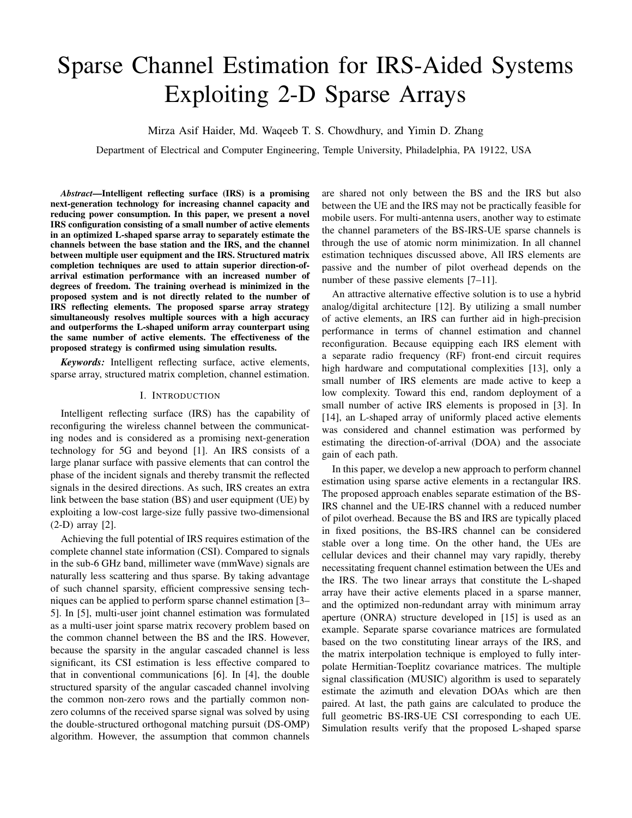# Sparse Channel Estimation for IRS-Aided Systems Exploiting 2-D Sparse Arrays

Mirza Asif Haider, Md. Waqeeb T. S. Chowdhury, and Yimin D. Zhang

Department of Electrical and Computer Engineering, Temple University, Philadelphia, PA 19122, USA

*Abstract*—Intelligent reflecting surface (IRS) is a promising next-generation technology for increasing channel capacity and reducing power consumption. In this paper, we present a novel IRS configuration consisting of a small number of active elements in an optimized L-shaped sparse array to separately estimate the channels between the base station and the IRS, and the channel between multiple user equipment and the IRS. Structured matrix completion techniques are used to attain superior direction-ofarrival estimation performance with an increased number of degrees of freedom. The training overhead is minimized in the proposed system and is not directly related to the number of IRS reflecting elements. The proposed sparse array strategy simultaneously resolves multiple sources with a high accuracy and outperforms the L-shaped uniform array counterpart using the same number of active elements. The effectiveness of the proposed strategy is confirmed using simulation results.

*Keywords:* Intelligent reflecting surface, active elements, sparse array, structured matrix completion, channel estimation.

## I. INTRODUCTION

Intelligent reflecting surface (IRS) has the capability of reconfiguring the wireless channel between the communicating nodes and is considered as a promising next-generation technology for 5G and beyond [1]. An IRS consists of a large planar surface with passive elements that can control the phase of the incident signals and thereby transmit the reflected signals in the desired directions. As such, IRS creates an extra link between the base station (BS) and user equipment (UE) by exploiting a low-cost large-size fully passive two-dimensional (2-D) array [2].

Achieving the full potential of IRS requires estimation of the complete channel state information (CSI). Compared to signals in the sub-6 GHz band, millimeter wave (mmWave) signals are naturally less scattering and thus sparse. By taking advantage of such channel sparsity, efficient compressive sensing techniques can be applied to perform sparse channel estimation [3– 5]. In [5], multi-user joint channel estimation was formulated as a multi-user joint sparse matrix recovery problem based on the common channel between the BS and the IRS. However, because the sparsity in the angular cascaded channel is less significant, its CSI estimation is less effective compared to that in conventional communications [6]. In [4], the double structured sparsity of the angular cascaded channel involving the common non-zero rows and the partially common nonzero columns of the received sparse signal was solved by using the double-structured orthogonal matching pursuit (DS-OMP) algorithm. However, the assumption that common channels are shared not only between the BS and the IRS but also between the UE and the IRS may not be practically feasible for mobile users. For multi-antenna users, another way to estimate the channel parameters of the BS-IRS-UE sparse channels is through the use of atomic norm minimization. In all channel estimation techniques discussed above, All IRS elements are passive and the number of pilot overhead depends on the number of these passive elements [7–11].

An attractive alternative effective solution is to use a hybrid analog/digital architecture [12]. By utilizing a small number of active elements, an IRS can further aid in high-precision performance in terms of channel estimation and channel reconfiguration. Because equipping each IRS element with a separate radio frequency (RF) front-end circuit requires high hardware and computational complexities [13], only a small number of IRS elements are made active to keep a low complexity. Toward this end, random deployment of a small number of active IRS elements is proposed in [3]. In [14], an L-shaped array of uniformly placed active elements was considered and channel estimation was performed by estimating the direction-of-arrival (DOA) and the associate gain of each path.

In this paper, we develop a new approach to perform channel estimation using sparse active elements in a rectangular IRS. The proposed approach enables separate estimation of the BS-IRS channel and the UE-IRS channel with a reduced number of pilot overhead. Because the BS and IRS are typically placed in fixed positions, the BS-IRS channel can be considered stable over a long time. On the other hand, the UEs are cellular devices and their channel may vary rapidly, thereby necessitating frequent channel estimation between the UEs and the IRS. The two linear arrays that constitute the L-shaped array have their active elements placed in a sparse manner, and the optimized non-redundant array with minimum array aperture (ONRA) structure developed in [15] is used as an example. Separate sparse covariance matrices are formulated based on the two constituting linear arrays of the IRS, and the matrix interpolation technique is employed to fully interpolate Hermitian-Toeplitz covariance matrices. The multiple signal classification (MUSIC) algorithm is used to separately estimate the azimuth and elevation DOAs which are then paired. At last, the path gains are calculated to produce the full geometric BS-IRS-UE CSI corresponding to each UE. Simulation results verify that the proposed L-shaped sparse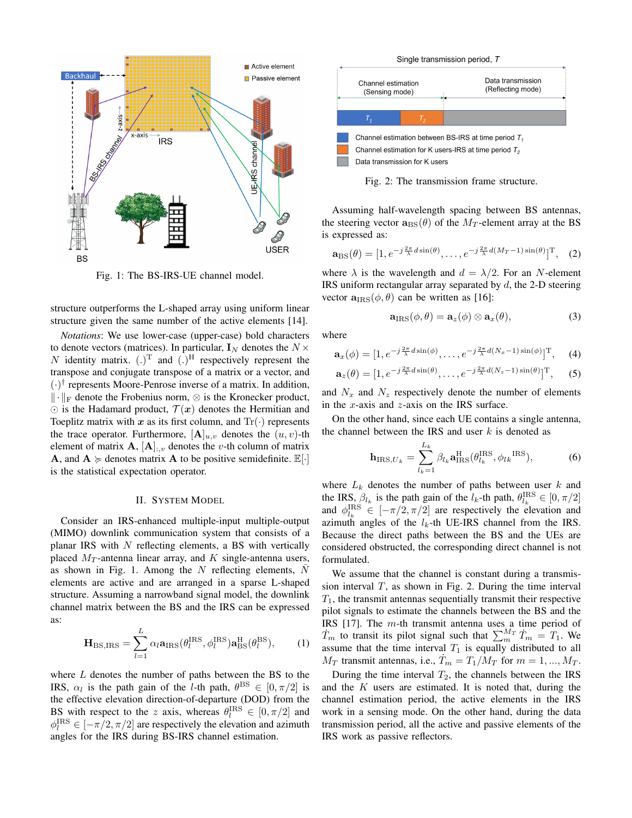

Fig. 1: The BS-IRS-UE channel model.

structure outperforms the L-shaped array using uniform linear structure given the same number of the active elements [14].

*Notations*: We use lower-case (upper-case) bold characters to denote vectors (matrices). In particular,  $I_N$  denotes the  $N \times$ N identity matrix.  $(.)^T$  and  $(.)^H$  respectively represent the transpose and conjugate transpose of a matrix or a vector, and  $(\cdot)^\dagger$  represents Moore-Penrose inverse of a matrix. In addition,  $\|\cdot\|_F$  denote the Frobenius norm,  $\otimes$  is the Kronecker product,  $\odot$  is the Hadamard product,  $\mathcal{T}(x)$  denotes the Hermitian and Toeplitz matrix with x as its first column, and  $Tr(\cdot)$  represents the trace operator. Furthermore,  $[\mathbf{A}]_{u,v}$  denotes the  $(u, v)$ -th element of matrix  $\mathbf{A}, [\mathbf{A}]_{:,v}$  denotes the *v*-th column of matrix **A**, and  $A \ge \text{denotes matrix } A$  to be positive semidefinite.  $\mathbb{E}[\cdot]$ is the statistical expectation operator.

# II. SYSTEM MODEL

Consider an IRS-enhanced multiple-input multiple-output (MIMO) downlink communication system that consists of a planar IRS with  $N$  reflecting elements, a BS with vertically placed  $M_T$ -antenna linear array, and K single-antenna users, as shown in Fig. 1. Among the  $N$  reflecting elements,  $N$ elements are active and are arranged in a sparse L-shaped structure. Assuming a narrowband signal model, the downlink channel matrix between the BS and the IRS can be expressed as:

$$
\mathbf{H}_{\mathrm{BS,IRS}} = \sum_{l=1}^{L} \alpha_l \mathbf{a}_{\mathrm{IRS}}(\theta_l^{\mathrm{IRS}}, \phi_l^{\mathrm{IRS}}) \mathbf{a}_{\mathrm{BS}}^{\mathrm{H}}(\theta_l^{\mathrm{BS}}), \qquad (1)
$$

where  $L$  denotes the number of paths between the BS to the IRS,  $\alpha_l$  is the path gain of the *l*-th path,  $\theta^{\text{BS}} \in [0, \pi/2]$  is the effective elevation direction-of-departure (DOD) from the BS with respect to the z axis, whereas  $\theta_l^{\text{IRS}} \in [0, \pi/2]$  and  $\phi_l^{\text{IRS}} \in [-\pi/2, \pi/2]$  are respectively the elevation and azimuth angles for the IRS during BS-IRS channel estimation.



Fig. 2: The transmission frame structure.

Assuming half-wavelength spacing between BS antennas, the steering vector  $\mathbf{a}_{\text{BS}}(\theta)$  of the  $M_T$ -element array at the BS is expressed as:

$$
\mathbf{a}_{\mathrm{BS}}(\theta) = [1, e^{-j\frac{2\pi}{\lambda}d\sin(\theta)}, \dots, e^{-j\frac{2\pi}{\lambda}d(M_T - 1)\sin(\theta)}]^{\mathrm{T}}, \quad (2)
$$

where  $\lambda$  is the wavelength and  $d = \lambda/2$ . For an N-element IRS uniform rectangular array separated by  $d$ , the 2-D steering vector  $\mathbf{a}_{\text{IRS}}(\phi, \theta)$  can be written as [16]:

$$
\mathbf{a}_{\text{IRS}}(\phi,\theta) = \mathbf{a}_z(\phi) \otimes \mathbf{a}_x(\theta),\tag{3}
$$

where

$$
\mathbf{a}_x(\phi) = [1, e^{-j\frac{2\pi}{\lambda}d\sin(\phi)}, \dots, e^{-j\frac{2\pi}{\lambda}d(N_x - 1)\sin(\phi)}]^{\mathrm{T}}, \quad (4)
$$

$$
\mathbf{a}_z(\theta) = [1, e^{-j\frac{2\pi}{\lambda}d\sin(\theta)}, \dots, e^{-j\frac{2\pi}{\lambda}d(N_z - 1)\sin(\theta)}]^{\mathrm{T}}, \quad (5)
$$

and  $N_x$  and  $N_z$  respectively denote the number of elements in the x-axis and  $z$ -axis on the IRS surface.

On the other hand, since each UE contains a single antenna, the channel between the IRS and user  $k$  is denoted as

$$
\mathbf{h}_{\text{IRS},U_k} = \sum_{l_k=1}^{L_k} \beta_{l_k} \mathbf{a}_{\text{IRS}}^{\text{H}}(\theta_{l_k}^{\text{IRS}}, \phi_{l_k}^{\text{IRS}}), \tag{6}
$$

where  $L_k$  denotes the number of paths between user k and the IRS,  $\beta_{l_k}$  is the path gain of the  $l_k$ -th path,  $\theta_{l_k}^{\text{IRS}} \in [0, \pi/2]$ and  $\phi_{l_k}^{\text{IRS}} \in [-\pi/2, \pi/2]$  are respectively the elevation and azimuth angles of the  $l_k$ -th UE-IRS channel from the IRS. Because the direct paths between the BS and the UEs are considered obstructed, the corresponding direct channel is not formulated.

We assume that the channel is constant during a transmission interval  $T$ , as shown in Fig. 2. During the time interval  $T_1$ , the transmit antennas sequentially transmit their respective pilot signals to estimate the channels between the BS and the IRS [17]. The m-th transmit antenna uses a time period of  $\dot{T}_m$  to transit its pilot signal such that  $\sum_{m}^{M_T} \dot{T}_m = T_1$ . We assume that the time interval  $T_1$  is equally distributed to all  $M_T$  transmit antennas, i.e.,  $T_m = T_1/M_T$  for  $m = 1, ..., M_T$ .

During the time interval  $T_2$ , the channels between the IRS and the  $K$  users are estimated. It is noted that, during the channel estimation period, the active elements in the IRS work in a sensing mode. On the other hand, during the data transmission period, all the active and passive elements of the IRS work as passive reflectors.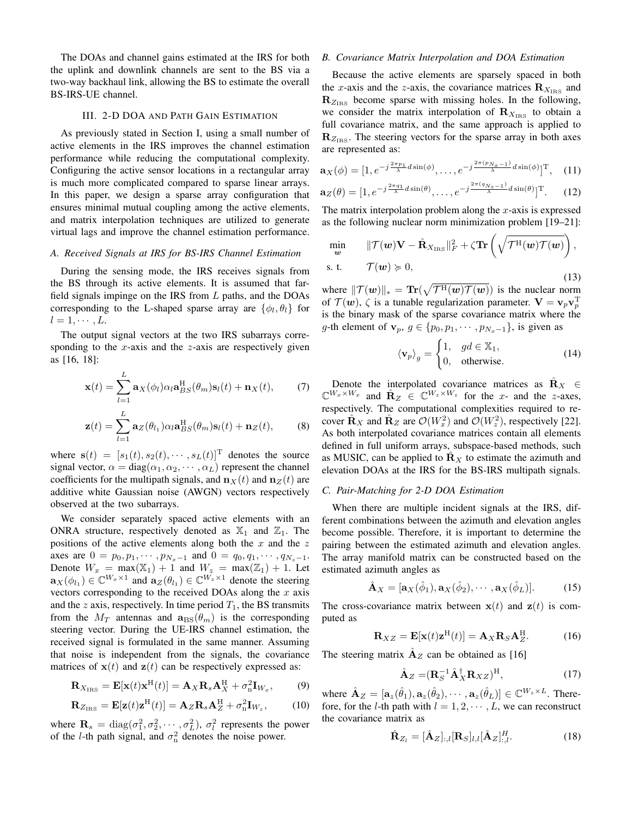The DOAs and channel gains estimated at the IRS for both the uplink and downlink channels are sent to the BS via a two-way backhaul link, allowing the BS to estimate the overall BS-IRS-UE channel.

# III. 2-D DOA AND PATH GAIN ESTIMATION

As previously stated in Section I, using a small number of active elements in the IRS improves the channel estimation performance while reducing the computational complexity. Configuring the active sensor locations in a rectangular array is much more complicated compared to sparse linear arrays. In this paper, we design a sparse array configuration that ensures minimal mutual coupling among the active elements, and matrix interpolation techniques are utilized to generate virtual lags and improve the channel estimation performance.

#### *A. Received Signals at IRS for BS-IRS Channel Estimation*

During the sensing mode, the IRS receives signals from the BS through its active elements. It is assumed that farfield signals impinge on the IRS from  $L$  paths, and the DOAs corresponding to the L-shaped sparse array are  $\{\phi_l, \theta_l\}$  for  $l = 1, \cdots, L$ .

The output signal vectors at the two IRS subarrays corresponding to the  $x$ -axis and the  $z$ -axis are respectively given as [16, 18]:

$$
\mathbf{x}(t) = \sum_{l=1}^{L} \mathbf{a}_X(\phi_l) \alpha_l \mathbf{a}_{BS}^{\mathrm{H}}(\theta_m) \mathbf{s}_l(t) + \mathbf{n}_X(t), \qquad (7)
$$

$$
\mathbf{z}(t) = \sum_{l=1}^{L} \mathbf{a}_{Z}(\theta_{l_1}) \alpha_l \mathbf{a}_{BS}^{\mathrm{H}}(\theta_m) \mathbf{s}_l(t) + \mathbf{n}_{Z}(t), \quad (8)
$$

where  $\mathbf{s}(t) = [s_1(t), s_2(t), \cdots, s_L(t)]^T$  denotes the source signal vector,  $\alpha = diag(\alpha_1, \alpha_2, \cdots, \alpha_L)$  represent the channel coefficients for the multipath signals, and  $\mathbf{n}_{\mathbf{X}}(t)$  and  $\mathbf{n}_{\mathbf{Z}}(t)$  are additive white Gaussian noise (AWGN) vectors respectively observed at the two subarrays.

We consider separately spaced active elements with an ONRA structure, respectively denoted as  $\mathbb{X}_1$  and  $\mathbb{Z}_1$ . The positions of the active elements along both the  $x$  and the  $z$ axes are  $0 = p_0, p_1, \cdots, p_{N_x-1}$  and  $0 = q_0, q_1, \cdots, q_{N_z-1}$ . Denote  $W_x = \max(\mathbb{X}_1) + 1$  and  $W_z = \max(\mathbb{Z}_1) + 1$ . Let  $\mathbf{a}_X(\phi_{l_1}) \in \mathbb{C}^{W_x \times 1}$  and  $\mathbf{a}_Z(\theta_{l_1}) \in \mathbb{C}^{W_z \times 1}$  denote the steering vectors corresponding to the received DOAs along the  $x$  axis and the  $z$  axis, respectively. In time period  $T_1$ , the BS transmits from the  $M_T$  antennas and  $\mathbf{a}_{BS}(\theta_m)$  is the corresponding steering vector. During the UE-IRS channel estimation, the received signal is formulated in the same manner. Assuming that noise is independent from the signals, the covariance matrices of  $x(t)$  and  $z(t)$  can be respectively expressed as:

$$
\mathbf{R}_{X_{\text{IRS}}} = \mathbf{E}[\mathbf{x}(t)\mathbf{x}^{\text{H}}(t)] = \mathbf{A}_{X}\mathbf{R}_{s}\mathbf{A}_{X}^{\text{H}} + \sigma_{n}^{2}\mathbf{I}_{W_{x}}, \quad (9)
$$

$$
\mathbf{R}_{Z_{\rm IRS}} = \mathbf{E}[\mathbf{z}(t)\mathbf{z}^{\rm H}(t)] = \mathbf{A}_{Z}\mathbf{R}_{s}\mathbf{A}_{Z}^{\rm H} + \sigma_{\rm n}^{2}\mathbf{I}_{W_{z}},\qquad(10)
$$

where  $\mathbf{R}_s = \text{diag}(\sigma_1^2, \sigma_2^2, \cdots, \sigma_L^2), \sigma_l^2$  represents the power of the *l*-th path signal, and  $\sigma_n^2$  denotes the noise power.

# *B. Covariance Matrix Interpolation and DOA Estimation*

Because the active elements are sparsely spaced in both the x-axis and the z-axis, the covariance matrices  $\mathbf{R}_{X_{\text{IRS}}}$  and  $\mathbf{R}_{Z_{\text{IRS}}}$  become sparse with missing holes. In the following, we consider the matrix interpolation of  $\mathbf{R}_{X_{\text{IRS}}}$  to obtain a full covariance matrix, and the same approach is applied to  $\mathbf{R}_{Z_{\text{IRS}}}$ . The steering vectors for the sparse array in both axes are represented as:

$$
\mathbf{a}_X(\phi) = [1, e^{-j\frac{2\pi p_1}{\lambda}d\sin(\phi)}, \dots, e^{-j\frac{2\pi (p_{N_x-1})}{\lambda}d\sin(\phi)}]^{\mathrm{T}}, \quad (11)
$$

$$
\mathbf{a}_Z(\theta) = [1, e^{-j\frac{2\pi q_1}{\lambda}d\sin(\theta)}, \dots, e^{-j\frac{2\pi (q_{N_z}-1)}{\lambda}d\sin(\theta)}]^{\mathrm{T}}.
$$
 (12)

The matrix interpolation problem along the  $x$ -axis is expressed as the following nuclear norm minimization problem [19–21]:

$$
\min_{\mathbf{w}} \qquad \|\mathcal{T}(\mathbf{w})\mathbf{V} - \hat{\mathbf{R}}_{X_{\text{IRS}}}\|_{F}^{2} + \zeta \mathbf{Tr}\left(\sqrt{\mathcal{T}^{\text{H}}(\mathbf{w})\mathcal{T}(\mathbf{w})}\right),
$$
s. t. 
$$
\mathcal{T}(\mathbf{w}) \geq 0,
$$
 (13)

where  $||\mathcal{T}(w)||_* = \text{Tr}(\sqrt{\mathcal{T}^{\text{H}}(w)\mathcal{T}(w)})$  is the nuclear norm of  $\mathcal{T}(\boldsymbol{w})$ ,  $\zeta$  is a tunable regularization parameter.  $\mathbf{V} = \mathbf{v}_p \mathbf{v}_p^{\mathrm{T}}$ is the binary mask of the sparse covariance matrix where the g-th element of  $\mathbf{v}_p, g \in \{p_0, p_1, \cdots, p_{N_x-1}\},$  is given as

$$
\langle \mathbf{v}_p \rangle_g = \begin{cases} 1, & gd \in \mathbb{X}_1, \\ 0, & \text{otherwise.} \end{cases}
$$
 (14)

Denote the interpolated covariance matrices as  $\mathbf{R}_X \in$  $\mathbb{C}^{W_x \times W_x}$  and  $\hat{\mathbf{R}}_Z \in \mathbb{C}^{W_z \times W_z}$  for the x- and the z-axes, respectively. The computational complexities required to recover  $\hat{\mathbf{R}}_X$  and  $\hat{\mathbf{R}}_Z$  are  $\mathcal{O}(W_x^2)$  and  $\mathcal{O}(W_z^2)$ , respectively [22]. As both interpolated covariance matrices contain all elements defined in full uniform arrays, subspace-based methods, such as MUSIC, can be applied to  $\mathbf{R}_X$  to estimate the azimuth and elevation DOAs at the IRS for the BS-IRS multipath signals.

### *C. Pair-Matching for 2-D DOA Estimation*

When there are multiple incident signals at the IRS, different combinations between the azimuth and elevation angles become possible. Therefore, it is important to determine the pairing between the estimated azimuth and elevation angles. The array manifold matrix can be constructed based on the estimated azimuth angles as

$$
\hat{\mathbf{A}}_X = [\mathbf{a}_X(\hat{\phi}_1), \mathbf{a}_X(\hat{\phi}_2), \cdots, \mathbf{a}_X(\hat{\phi}_L)].
$$
 (15)

The cross-covariance matrix between  $x(t)$  and  $z(t)$  is computed as

$$
\mathbf{R}_{XZ} = \mathbf{E}[\mathbf{x}(t)\mathbf{z}^{\mathrm{H}}(t)] = \mathbf{A}_{X}\mathbf{R}_{S}\mathbf{A}_{Z}^{\mathrm{H}}.
$$
 (16)

The steering matrix  $\mathbf{A}_z$  can be obtained as [16]

$$
\hat{\mathbf{A}}_Z = (\mathbf{R}_S^{-1} \hat{\mathbf{A}}_X^{\dagger} \mathbf{R}_{XZ})^{\mathrm{H}},\tag{17}
$$

where  $\hat{\mathbf{A}}_Z = [\mathbf{a}_z(\hat{\theta}_1), \mathbf{a}_z(\hat{\theta}_2), \cdots, \mathbf{a}_z(\hat{\theta}_L)] \in \mathbb{C}^{W_z \times L}$ . Therefore, for the *l*-th path with  $l = 1, 2, \dots, L$ , we can reconstruct the covariance matrix as

$$
\hat{\mathbf{R}}_{Z_l} = [\hat{\mathbf{A}}_Z]_{:,l} [\mathbf{R}_S]_{l,l} [\hat{\mathbf{A}}_Z]_{:,l}^H.
$$
\n(18)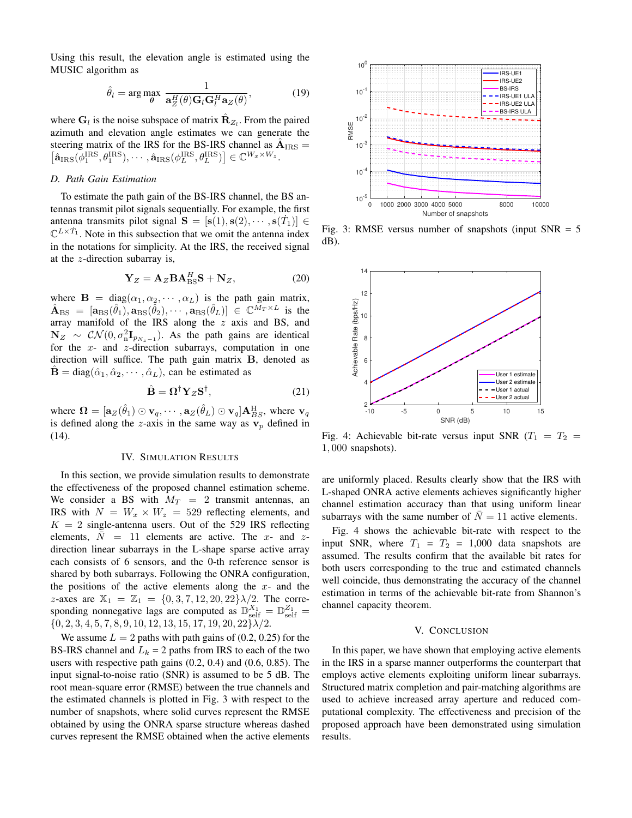Using this result, the elevation angle is estimated using the MUSIC algorithm as

$$
\hat{\theta}_l = \arg \max_{\theta} \frac{1}{\mathbf{a}_Z^H(\theta) \mathbf{G}_l \mathbf{G}_l^H \mathbf{a}_Z(\theta)},
$$
(19)

where  $G_l$  is the noise subspace of matrix  $\hat{\mathbf{R}}_{Z_l}$ . From the paired azimuth and elevation angle estimates we can generate the steering matrix of the IRS for the BS-IRS channel as  $\hat{A}_{\text{IRS}} =$  $\left[\hat{\mathbf{a}}_{\mathrm{IRS}}(\phi_{1}^{\mathrm{IRS}}, \theta_{1}^{\mathrm{IRS}}), \cdots, \hat{\mathbf{a}}_{\mathrm{IRS}}(\phi_{L}^{\mathrm{IRS}}, \theta_{L}^{\mathrm{IRS}})\right] \in \mathbb{C}^{W_x \times W_z}.$ 

# *D. Path Gain Estimation*

To estimate the path gain of the BS-IRS channel, the BS antennas transmit pilot signals sequentially. For example, the first antenna transmits pilot signal  $\mathbf{S} = [\mathbf{s}(1), \mathbf{s}(2), \cdots, \mathbf{s}(T_1)] \in$  $\mathbb{C}^{L \times T_1}$ . Note in this subsection that we omit the antenna index in the notations for simplicity. At the IRS, the received signal at the  $z$ -direction subarray is,

$$
\mathbf{Y}_Z = \mathbf{A}_Z \mathbf{B} \mathbf{A}_{\text{BS}}^H \mathbf{S} + \mathbf{N}_Z, \tag{20}
$$

where  $\mathbf{B} = \text{diag}(\alpha_1, \alpha_2, \cdots, \alpha_L)$  is the path gain matrix,  $\hat{\mathbf{A}}_{\text{BS}} = [\mathbf{a}_{\text{BS}}(\hat{\theta}_1), \mathbf{a}_{\text{BS}}(\hat{\theta}_2), \cdots, \mathbf{a}_{\text{BS}}(\hat{\theta}_L)] \in \mathbb{C}^{\tilde{M}_T \times L}$  is the array manifold of the IRS along the  $z$  axis and BS, and  $N_Z \sim \mathcal{CN}(0, \sigma_n^2 \mathbf{I}_{p_{N_z-1}})$ . As the path gains are identical for the  $x$ - and  $z$ -direction subarrays, computation in one direction will suffice. The path gain matrix B, denoted as  $\mathbf{B} = \text{diag}(\hat{\alpha}_1, \hat{\alpha}_2, \cdots, \hat{\alpha}_L)$ , can be estimated as

$$
\hat{\mathbf{B}} = \mathbf{\Omega}^{\dagger} \mathbf{Y}_{Z} \mathbf{S}^{\dagger},\tag{21}
$$

where  $\bm{\Omega} = [\mathbf{a}_Z(\hat{\theta}_1) \odot \mathbf{v}_q, \cdots, \mathbf{a}_Z(\hat{\theta}_L) \odot \mathbf{v}_q] \mathbf{A}_{BS}^{\mathrm{H}},$  where  $\mathbf{v}_q$ is defined along the z-axis in the same way as  $v_p$  defined in (14).

#### IV. SIMULATION RESULTS

In this section, we provide simulation results to demonstrate the effectiveness of the proposed channel estimation scheme. We consider a BS with  $M_T = 2$  transmit antennas, an IRS with  $N = W_x \times W_z = 529$  reflecting elements, and  $K = 2$  single-antenna users. Out of the 529 IRS reflecting elements,  $N = 11$  elements are active. The x- and zdirection linear subarrays in the L-shape sparse active array each consists of 6 sensors, and the 0-th reference sensor is shared by both subarrays. Following the ONRA configuration, the positions of the active elements along the  $x$ - and the z-axes are  $\mathbb{X}_1 = \mathbb{Z}_1 = \{0, 3, 7, 12, 20, 22\}\lambda/2$ . The corresponding nonnegative lags are computed as  $\mathbb{D}_{\text{self}}^{X_1} = \mathbb{D}_{\text{self}}^{Z_1}$  $\{0, 2, 3, 4, 5, 7, 8, 9, 10, 12, 13, 15, 17, 19, 20, 22\}\lambda/2.$ 

We assume  $L = 2$  paths with path gains of (0.2, 0.25) for the BS-IRS channel and  $L_k = 2$  paths from IRS to each of the two users with respective path gains (0.2, 0.4) and (0.6, 0.85). The input signal-to-noise ratio (SNR) is assumed to be 5 dB. The root mean-square error (RMSE) between the true channels and the estimated channels is plotted in Fig. 3 with respect to the number of snapshots, where solid curves represent the RMSE obtained by using the ONRA sparse structure whereas dashed curves represent the RMSE obtained when the active elements



Fig. 3: RMSE versus number of snapshots (input  $SNR = 5$ dB).



Fig. 4: Achievable bit-rate versus input SNR ( $T_1 = T_2 =$ 1, 000 snapshots).

are uniformly placed. Results clearly show that the IRS with L-shaped ONRA active elements achieves significantly higher channel estimation accuracy than that using uniform linear subarrays with the same number of  $\overline{N} = 11$  active elements.

Fig. 4 shows the achievable bit-rate with respect to the input SNR, where  $T_1 = T_2 = 1,000$  data snapshots are assumed. The results confirm that the available bit rates for both users corresponding to the true and estimated channels well coincide, thus demonstrating the accuracy of the channel estimation in terms of the achievable bit-rate from Shannon's channel capacity theorem.

## V. CONCLUSION

In this paper, we have shown that employing active elements in the IRS in a sparse manner outperforms the counterpart that employs active elements exploiting uniform linear subarrays. Structured matrix completion and pair-matching algorithms are used to achieve increased array aperture and reduced computational complexity. The effectiveness and precision of the proposed approach have been demonstrated using simulation results.